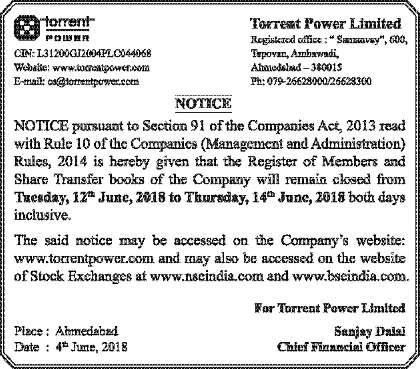

CIN: L31200GT2004PLCD44068 Website: www.turnentrower.com E-mail: co@torrentpower.com

Torrent Power Limited Registered office: " Samanyay", 600, Tupovan, Amhawadi, Ahmedshad - 380015 Ph: 079-26628000/26628300

## NOTICE.

NOTICE pursuant to Section 91 of the Companies Act, 2013 read with Rule 10 of the Companies (Management and Administration) Rules, 2014 is hereby given that the Register of Members and Share Transfer books of the Company will remain closed from Tuesday,  $12<sup>n</sup>$  June, 2018 to Thursday,  $14<sup>n</sup>$  June, 2018 both days inclusive.

The said notice may be accessed on the Company's website: www.torrentpower.com and may also be accessed on the website of Stock Exchanges at www.nscindia.com and www.bscindia.com.

For Torrent Power Limited

Sanjay Dalal **Chief Financial Officer** 

Place : Ahmedabad Date: 4<sup>th</sup> June, 2018